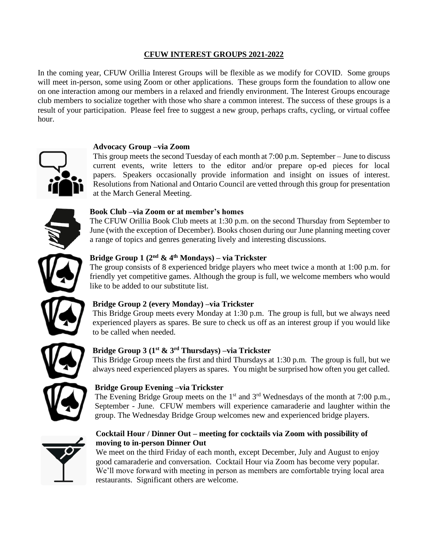# **CFUW INTEREST GROUPS 2021-2022**

In the coming year, CFUW Orillia Interest Groups will be flexible as we modify for COVID. Some groups will meet in-person, some using Zoom or other applications. These groups form the foundation to allow one on one interaction among our members in a relaxed and friendly environment. The Interest Groups encourage club members to socialize together with those who share a common interest. The success of these groups is a result of your participation. Please feel free to suggest a new group, perhaps crafts, cycling, or virtual coffee hour.

## **Advocacy Group –via Zoom**



This group meets the second Tuesday of each month at 7:00 p.m. September – June to discuss current events, write letters to the editor and/or prepare op-ed pieces for local papers. Speakers occasionally provide information and insight on issues of interest. Resolutions from National and Ontario Council are vetted through this group for presentation at the March General Meeting.

# **Book Club –via Zoom or at member's homes**

The CFUW Orillia Book Club meets at 1:30 p.m. on the second Thursday from September to June (with the exception of December). Books chosen during our June planning meeting cover a range of topics and genres generating lively and interesting discussions.

# **Bridge Group 1 (2 nd & 4th Mondays) – via Trickster**

The group consists of 8 experienced bridge players who meet twice a month at 1:00 p.m. for friendly yet competitive games. Although the group is full, we welcome members who would like to be added to our substitute list.

# **Bridge Group 2 (every Monday) –via Trickster**

This Bridge Group meets every Monday at 1:30 p.m. The group is full, but we always need experienced players as spares. Be sure to check us off as an interest group if you would like to be called when needed.

# **Bridge Group 3 (1 st & 3rd Thursdays) –via Trickster**

This Bridge Group meets the first and third Thursdays at 1:30 p.m. The group is full, but we always need experienced players as spares. You might be surprised how often you get called.

# **Bridge Group Evening –via Trickster**

The Evening Bridge Group meets on the  $1<sup>st</sup>$  and  $3<sup>rd</sup>$  Wednesdays of the month at 7:00 p.m., September - June. CFUW members will experience camaraderie and laughter within the group. The Wednesday Bridge Group welcomes new and experienced bridge players.



# **Cocktail Hour / Dinner Out – meeting for cocktails via Zoom with possibility of moving to in-person Dinner Out**

We meet on the third Friday of each month, except December, July and August to enjoy good camaraderie and conversation. Cocktail Hour via Zoom has become very popular. We'll move forward with meeting in person as members are comfortable trying local area restaurants. Significant others are welcome.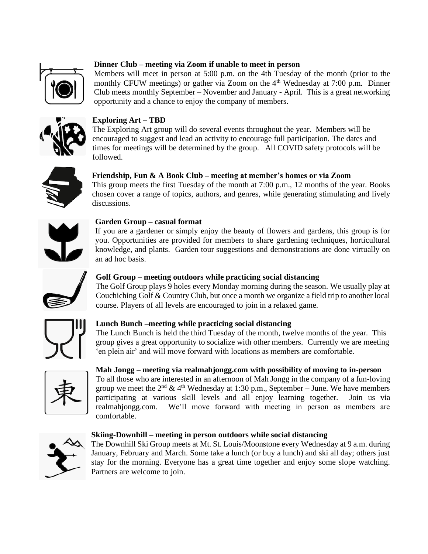

# **Dinner Club – meeting via Zoom if unable to meet in person**

Members will meet in person at 5:00 p.m. on the 4th Tuesday of the month (prior to the monthly CFUW meetings) or gather via Zoom on the 4<sup>th</sup> Wednesday at 7:00 p.m. Dinner Club meets monthly September – November and January - April. This is a great networking opportunity and a chance to enjoy the company of members.



# **Exploring Art – TBD**

The Exploring Art group will do several events throughout the year. Members will be encouraged to suggest and lead an activity to encourage full participation. The dates and times for meetings will be determined by the group. All COVID safety protocols will be followed.



### **Friendship, Fun & A Book Club – meeting at member's homes or via Zoom**

This group meets the first Tuesday of the month at 7:00 p.m., 12 months of the year. Books chosen cover a range of topics, authors, and genres, while generating stimulating and lively discussions.



#### **Garden Group – casual format**

If you are a gardener or simply enjoy the beauty of flowers and gardens, this group is for you. Opportunities are provided for members to share gardening techniques, horticultural knowledge, and plants. Garden tour suggestions and demonstrations are done virtually on an ad hoc basis.



### **Golf Group – meeting outdoors while practicing social distancing**

The Golf Group plays 9 holes every Monday morning during the season. We usually play at Couchiching Golf & Country Club, but once a month we organize a field trip to another local course. Players of all levels are encouraged to join in a relaxed game.



### **Lunch Bunch –meeting while practicing social distancing**

The Lunch Bunch is held the third Tuesday of the month, twelve months of the year. This group gives a great opportunity to socialize with other members. Currently we are meeting 'en plein air' and will move forward with locations as members are comfortable.



## **Mah Jongg – meeting via realmahjongg.com with possibility of moving to in-person**

To all those who are interested in an afternoon of Mah Jongg in the company of a fun-loving group we meet the  $2<sup>nd</sup>$  & 4<sup>th</sup> Wednesday at 1:30 p.m., September – June. We have members participating at various skill levels and all enjoy learning together. Join us via realmahjongg.com. We'll move forward with meeting in person as members are comfortable.



#### **Skiing-Downhill – meeting in person outdoors while social distancing**

The Downhill Ski Group meets at Mt. St. Louis/Moonstone every Wednesday at 9 a.m. during January, February and March. Some take a lunch (or buy a lunch) and ski all day; others just stay for the morning. Everyone has a great time together and enjoy some slope watching. Partners are welcome to join.